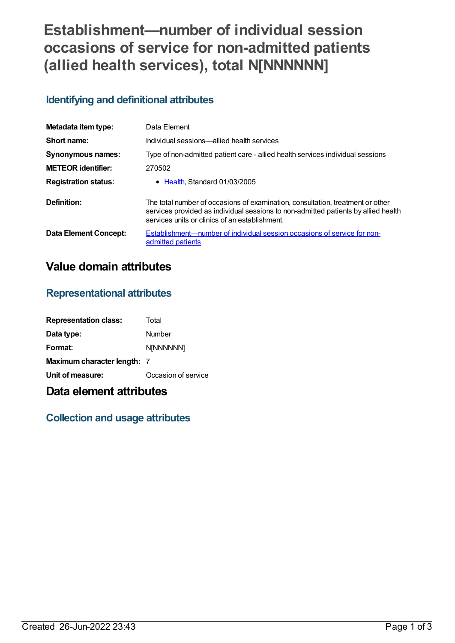# **Establishment—number of individual session occasions of service for non-admitted patients (allied health services), total N[NNNNNN]**

## **Identifying and definitional attributes**

| Metadata item type:         | Data Element                                                                                                                                                                                                           |
|-----------------------------|------------------------------------------------------------------------------------------------------------------------------------------------------------------------------------------------------------------------|
| Short name:                 | Individual sessions—allied health services                                                                                                                                                                             |
| <b>Synonymous names:</b>    | Type of non-admitted patient care - allied health services individual sessions                                                                                                                                         |
| <b>METEOR</b> identifier:   | 270502                                                                                                                                                                                                                 |
| <b>Registration status:</b> | $\bullet$ Health Standard 01/03/2005                                                                                                                                                                                   |
| Definition:                 | The total number of occasions of examination, consultation, treatment or other<br>services provided as individual sessions to non-admitted patients by allied health<br>services units or clinics of an establishment. |
| Data Element Concept:       | Establishment—number of individual session occasions of service for non-<br>admitted patients                                                                                                                          |

# **Value domain attributes**

### **Representational attributes**

| <b>Representation class:</b> | Total               |
|------------------------------|---------------------|
| Data type:                   | Number              |
| Format:                      | <b>N[NNNNNN]</b>    |
| Maximum character length: 7  |                     |
| Unit of measure:             | Occasion of service |

# **Data element attributes**

### **Collection and usage attributes**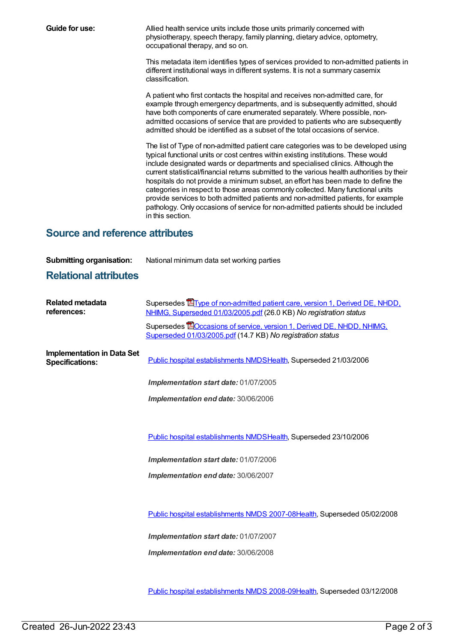**Guide for use:** Allied health service units include those units primarily concerned with physiotherapy, speech therapy, family planning, dietary advice, optometry, occupational therapy, and so on.

> This metadata item identifies types of services provided to non-admitted patients in different institutional ways in different systems. It is not a summary casemix classification.

A patient who first contacts the hospital and receives non-admitted care, for example through emergency departments, and is subsequently admitted, should have both components of care enumerated separately. Where possible, nonadmitted occasions of service that are provided to patients who are subsequently admitted should be identified as a subset of the total occasions of service.

The list of Type of non-admitted patient care categories was to be developed using typical functional units or cost centres within existing institutions. These would include designated wards or departments and specialised clinics. Although the current statistical/financial returns submitted to the various health authorities by their hospitals do not provide a minimum subset, an effort has been made to define the categories in respect to those areas commonly collected. Many functional units provide services to both admitted patients and non-admitted patients, for example pathology. Only occasions of service for non-admitted patients should be included in this section.

### **Source and reference attributes**

**Submitting organisation:** National minimum data set working parties

#### **Relational attributes**

| <b>Related metadata</b><br>references:                      | Supersedes <b>E</b> Type of non-admitted patient care, version 1, Derived DE, NHDD,<br>NHIMG, Superseded 01/03/2005.pdf (26.0 KB) No registration status |
|-------------------------------------------------------------|----------------------------------------------------------------------------------------------------------------------------------------------------------|
|                                                             | Supersedes <b>EO</b> ccasions of service, version 1, Derived DE, NHDD, NHIMG,<br>Superseded 01/03/2005.pdf (14.7 KB) No registration status              |
| <b>Implementation in Data Set</b><br><b>Specifications:</b> | Public hospital establishments NMDSHealth, Superseded 21/03/2006                                                                                         |
|                                                             | <b>Implementation start date: 01/07/2005</b>                                                                                                             |
|                                                             | Implementation end date: 30/06/2006                                                                                                                      |
|                                                             |                                                                                                                                                          |
|                                                             | Public hospital establishments NMDSHealth, Superseded 23/10/2006                                                                                         |
|                                                             | Implementation start date: 01/07/2006                                                                                                                    |
|                                                             | <b>Implementation end date: 30/06/2007</b>                                                                                                               |
|                                                             |                                                                                                                                                          |

Public hospital [establishments](https://meteor.aihw.gov.au/content/345139) NMDS 2007-08[Health](https://meteor.aihw.gov.au/RegistrationAuthority/12), Superseded 05/02/2008

*Implementation start date:* 01/07/2007

*Implementation end date:* 30/06/2008

Public hospital [establishments](https://meteor.aihw.gov.au/content/362302) NMDS 2008-09[Health](https://meteor.aihw.gov.au/RegistrationAuthority/12), Superseded 03/12/2008